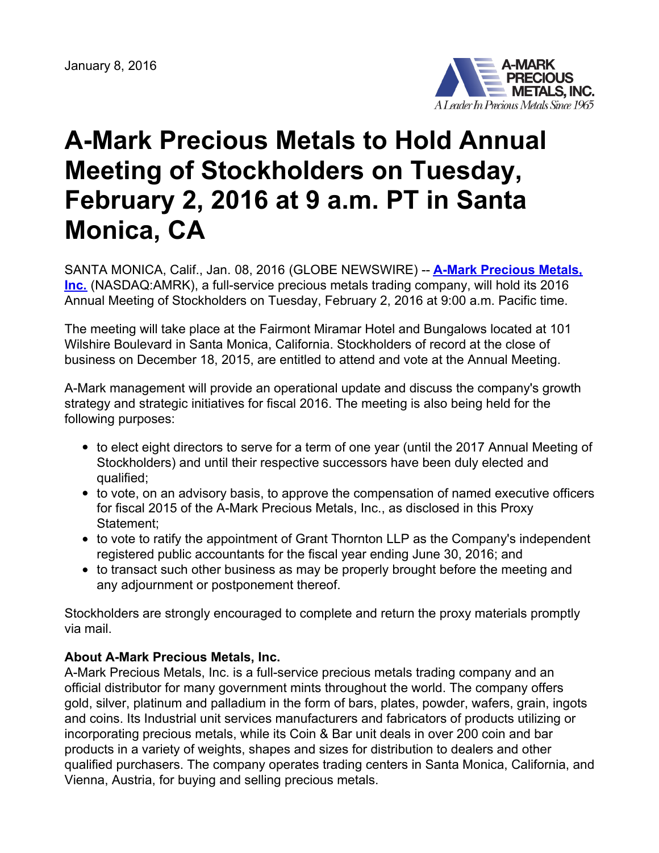

## **A-Mark Precious Metals to Hold Annual Meeting of Stockholders on Tuesday, February 2, 2016 at 9 a.m. PT in Santa Monica, CA**

SANTA MONICA, Calif., Jan. 08, 2016 (GLOBE NEWSWIRE) -- **A-Mark Precious Metals, Inc.** [\(NASDAQ:AMRK\),](https://www.globenewswire.com/Tracker?data=z0XTZCiuD1EuxvmNa1U5kQNyOmPE2IEzdtvCqAMF_v0bVWpD3qfKOuf5u1CAAS3LP1mjvlmLT26iwwQAIb7W24v9lmv2ge1fPnuxZd3m898=) a full-service precious metals trading company, will hold its 2016 Annual Meeting of Stockholders on Tuesday, February 2, 2016 at 9:00 a.m. Pacific time.

The meeting will take place at the Fairmont Miramar Hotel and Bungalows located at 101 Wilshire Boulevard in Santa Monica, California. Stockholders of record at the close of business on December 18, 2015, are entitled to attend and vote at the Annual Meeting.

A-Mark management will provide an operational update and discuss the company's growth strategy and strategic initiatives for fiscal 2016. The meeting is also being held for the following purposes:

- to elect eight directors to serve for a term of one year (until the 2017 Annual Meeting of Stockholders) and until their respective successors have been duly elected and qualified;
- to vote, on an advisory basis, to approve the compensation of named executive officers for fiscal 2015 of the A-Mark Precious Metals, Inc., as disclosed in this Proxy Statement;
- to vote to ratify the appointment of Grant Thornton LLP as the Company's independent registered public accountants for the fiscal year ending June 30, 2016; and
- to transact such other business as may be properly brought before the meeting and any adjournment or postponement thereof.

Stockholders are strongly encouraged to complete and return the proxy materials promptly via mail.

## **About A-Mark Precious Metals, Inc.**

A-Mark Precious Metals, Inc. is a full-service precious metals trading company and an official distributor for many government mints throughout the world. The company offers gold, silver, platinum and palladium in the form of bars, plates, powder, wafers, grain, ingots and coins. Its Industrial unit services manufacturers and fabricators of products utilizing or incorporating precious metals, while its Coin & Bar unit deals in over 200 coin and bar products in a variety of weights, shapes and sizes for distribution to dealers and other qualified purchasers. The company operates trading centers in Santa Monica, California, and Vienna, Austria, for buying and selling precious metals.